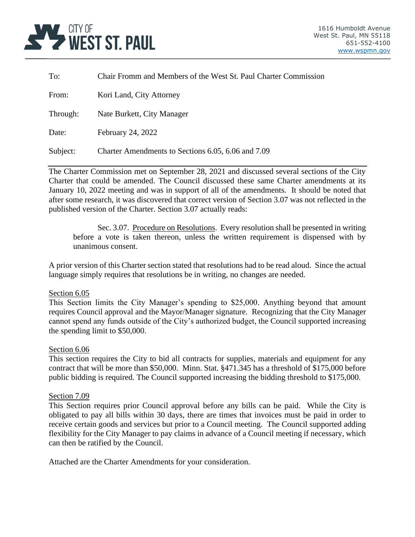

| To:      | Chair Fromm and Members of the West St. Paul Charter Commission |
|----------|-----------------------------------------------------------------|
| From:    | Kori Land, City Attorney                                        |
| Through: | Nate Burkett, City Manager                                      |
| Date:    | February 24, 2022                                               |
| Subject: | Charter Amendments to Sections 6.05, 6.06 and 7.09              |

The Charter Commission met on September 28, 2021 and discussed several sections of the City Charter that could be amended. The Council discussed these same Charter amendments at its January 10, 2022 meeting and was in support of all of the amendments. It should be noted that after some research, it was discovered that correct version of Section 3.07 was not reflected in the published version of the Charter. Section 3.07 actually reads:

Sec. 3.07. Procedure on Resolutions. Every resolution shall be presented in writing before a vote is taken thereon, unless the written requirement is dispensed with by unanimous consent.

A prior version of this Charter section stated that resolutions had to be read aloud. Since the actual language simply requires that resolutions be in writing, no changes are needed.

#### Section 6.05

This Section limits the City Manager's spending to \$25,000. Anything beyond that amount requires Council approval and the Mayor/Manager signature. Recognizing that the City Manager cannot spend any funds outside of the City's authorized budget, the Council supported increasing the spending limit to \$50,000.

#### Section 6.06

This section requires the City to bid all contracts for supplies, materials and equipment for any contract that will be more than \$50,000. Minn. Stat. §471.345 has a threshold of \$175,000 before public bidding is required. The Council supported increasing the bidding threshold to \$175,000.

#### Section 7.09

This Section requires prior Council approval before any bills can be paid. While the City is obligated to pay all bills within 30 days, there are times that invoices must be paid in order to receive certain goods and services but prior to a Council meeting. The Council supported adding flexibility for the City Manager to pay claims in advance of a Council meeting if necessary, which can then be ratified by the Council.

Attached are the Charter Amendments for your consideration.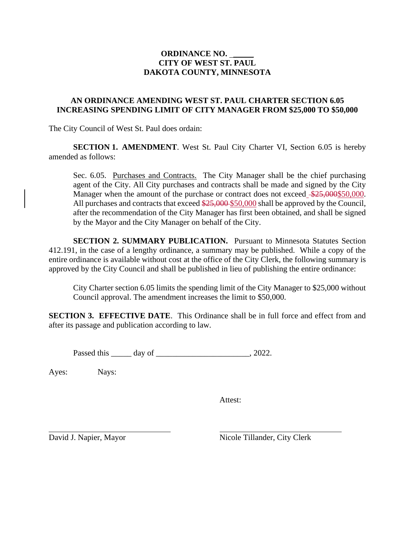## **ORDINANCE NO.** \_\_\_\_\_ **CITY OF WEST ST. PAUL DAKOTA COUNTY, MINNESOTA**

## **AN ORDINANCE AMENDING WEST ST. PAUL CHARTER SECTION 6.05 INCREASING SPENDING LIMIT OF CITY MANAGER FROM \$25,000 TO \$50,000**

The City Council of West St. Paul does ordain:

**SECTION 1. AMENDMENT**. West St. Paul City Charter VI, Section 6.05 is hereby amended as follows:

Sec. 6.05. Purchases and Contracts. The City Manager shall be the chief purchasing agent of the City. All City purchases and contracts shall be made and signed by the City Manager when the amount of the purchase or contract does not exceed  $\frac{$25,000$}{50,000}$ . All purchases and contracts that exceed  $\frac{$25,000}{$25,000}{$50,000}$  shall be approved by the Council, after the recommendation of the City Manager has first been obtained, and shall be signed by the Mayor and the City Manager on behalf of the City.

**SECTION 2. SUMMARY PUBLICATION.** Pursuant to Minnesota Statutes Section 412.191, in the case of a lengthy ordinance, a summary may be published. While a copy of the entire ordinance is available without cost at the office of the City Clerk, the following summary is approved by the City Council and shall be published in lieu of publishing the entire ordinance:

City Charter section 6.05 limits the spending limit of the City Manager to \$25,000 without Council approval. The amendment increases the limit to \$50,000.

**SECTION 3. EFFECTIVE DATE**. This Ordinance shall be in full force and effect from and after its passage and publication according to law.

Passed this \_\_\_\_\_\_ day of \_\_\_\_\_\_\_\_\_\_\_\_\_\_\_\_\_\_\_\_\_\_\_\_, 2022.

Ayes: Nays:

Attest:

David J. Napier, Mayor Nicole Tillander, City Clerk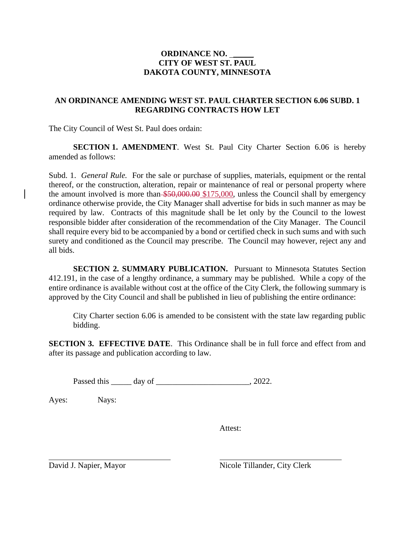## **ORDINANCE NO.** \_\_\_\_\_ **CITY OF WEST ST. PAUL DAKOTA COUNTY, MINNESOTA**

## **AN ORDINANCE AMENDING WEST ST. PAUL CHARTER SECTION 6.06 SUBD. 1 REGARDING CONTRACTS HOW LET**

The City Council of West St. Paul does ordain:

**SECTION 1. AMENDMENT**. West St. Paul City Charter Section 6.06 is hereby amended as follows:

Subd. 1. *General Rule.* For the sale or purchase of supplies, materials, equipment or the rental thereof, or the construction, alteration, repair or maintenance of real or personal property where the amount involved is more than \$50,000.00 \$175,000, unless the Council shall by emergency ordinance otherwise provide, the City Manager shall advertise for bids in such manner as may be required by law. Contracts of this magnitude shall be let only by the Council to the lowest responsible bidder after consideration of the recommendation of the City Manager. The Council shall require every bid to be accompanied by a bond or certified check in such sums and with such surety and conditioned as the Council may prescribe. The Council may however, reject any and all bids.

**SECTION 2. SUMMARY PUBLICATION.** Pursuant to Minnesota Statutes Section 412.191, in the case of a lengthy ordinance, a summary may be published. While a copy of the entire ordinance is available without cost at the office of the City Clerk, the following summary is approved by the City Council and shall be published in lieu of publishing the entire ordinance:

City Charter section 6.06 is amended to be consistent with the state law regarding public bidding.

**SECTION 3. EFFECTIVE DATE.** This Ordinance shall be in full force and effect from and after its passage and publication according to law.

Passed this day of 2022.

Ayes: Nays:

Attest:

David J. Napier, Mayor Nicole Tillander, City Clerk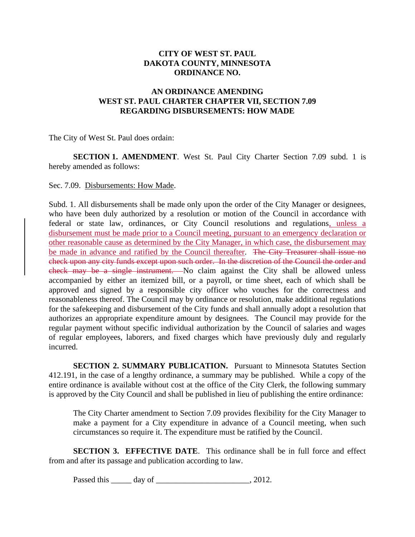# **CITY OF WEST ST. PAUL DAKOTA COUNTY, MINNESOTA ORDINANCE NO.**

## **AN ORDINANCE AMENDING WEST ST. PAUL CHARTER CHAPTER VII, SECTION 7.09 REGARDING DISBURSEMENTS: HOW MADE**

The City of West St. Paul does ordain:

**SECTION 1. AMENDMENT**. West St. Paul City Charter Section 7.09 subd. 1 is hereby amended as follows:

#### Sec. 7.09. Disbursements: How Made.

Subd. 1. All disbursements shall be made only upon the order of the City Manager or designees, who have been duly authorized by a resolution or motion of the Council in accordance with federal or state law, ordinances, or City Council resolutions and regulations, unless a disbursement must be made prior to a Council meeting, pursuant to an emergency declaration or other reasonable cause as determined by the City Manager, in which case, the disbursement may be made in advance and ratified by the Council thereafter. The City Treasurer shall issue no check upon any city funds except upon such order. In the discretion of the Council the order and check may be a single instrument. No claim against the City shall be allowed unless accompanied by either an itemized bill, or a payroll, or time sheet, each of which shall be approved and signed by a responsible city officer who vouches for the correctness and reasonableness thereof. The Council may by ordinance or resolution, make additional regulations for the safekeeping and disbursement of the City funds and shall annually adopt a resolution that authorizes an appropriate expenditure amount by designees. The Council may provide for the regular payment without specific individual authorization by the Council of salaries and wages of regular employees, laborers, and fixed charges which have previously duly and regularly incurred.

**SECTION 2. SUMMARY PUBLICATION.** Pursuant to Minnesota Statutes Section 412.191, in the case of a lengthy ordinance, a summary may be published. While a copy of the entire ordinance is available without cost at the office of the City Clerk, the following summary is approved by the City Council and shall be published in lieu of publishing the entire ordinance:

The City Charter amendment to Section 7.09 provides flexibility for the City Manager to make a payment for a City expenditure in advance of a Council meeting, when such circumstances so require it. The expenditure must be ratified by the Council.

**SECTION 3. EFFECTIVE DATE**. This ordinance shall be in full force and effect from and after its passage and publication according to law.

Passed this \_\_\_\_\_\_ day of \_\_\_\_\_\_\_\_\_\_\_\_\_\_\_\_\_\_\_\_\_\_\_\_\_\_, 2012.